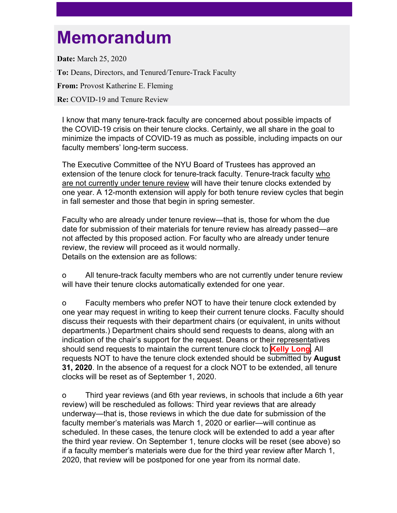## **Memorandum**

**Date:** March 25, 2020 **To:** Deans, Directors, and Tenured/Tenure-Track Faculty **From:** Provost Katherine E. Fleming **Re:** COVID-19 and Tenure Review

I know that many tenure-track faculty are concerned about possible impacts of the COVID-19 crisis on their tenure clocks. Certainly, we all share in the goal to minimize the impacts of COVID-19 as much as possible, including impacts on our faculty members' long-term success.

The Executive Committee of the NYU Board of Trustees has approved an extension of the tenure clock for tenure-track faculty. Tenure-track faculty who are not currently under tenure review will have their tenure clocks extended by one year. A 12-month extension will apply for both tenure review cycles that begin in fall semester and those that begin in spring semester.

Faculty who are already under tenure review—that is, those for whom the due date for submission of their materials for tenure review has already passed—are not affected by this proposed action. For faculty who are already under tenure review, the review will proceed as it would normally. Details on the extension are as follows:

o All tenure-track faculty members who are not currently under tenure review will have their tenure clocks automatically extended for one year.

o Faculty members who prefer NOT to have their tenure clock extended by one year may request in writing to keep their current tenure clocks. Faculty should discuss their requests with their department chairs (or equivalent, in units without departments.) Department chairs should send requests to deans, along with an indication of the chair's support for the request. Deans or their representatives should send requests to maintain the current tenure clock to **Kelly Long**. All requests NOT to have the tenure clock extended should be submitted by **August 31, 2020**. In the absence of a request for a clock NOT to be extended, all tenure clocks will be reset as of September 1, 2020.

o Third year reviews (and 6th year reviews, in schools that include a 6th year review) will be rescheduled as follows: Third year reviews that are already underway—that is, those reviews in which the due date for submission of the faculty member's materials was March 1, 2020 or earlier—will continue as scheduled. In these cases, the tenure clock will be extended to add a year after the third year review. On September 1, tenure clocks will be reset (see above) so if a faculty member's materials were due for the third year review after March 1, 2020, that review will be postponed for one year from its normal date.